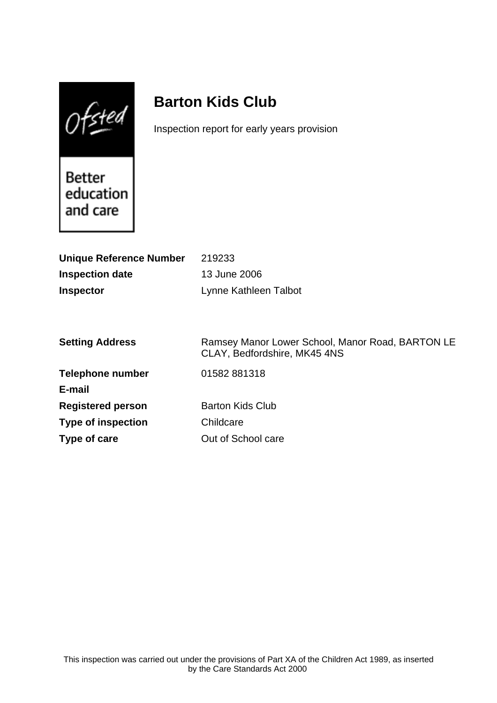$0$ fsted

# **Barton Kids Club**

Inspection report for early years provision

**Better** education and care

| <b>Unique Reference Number</b> | 219233                                                                           |
|--------------------------------|----------------------------------------------------------------------------------|
| <b>Inspection date</b>         | 13 June 2006                                                                     |
| <b>Inspector</b>               | Lynne Kathleen Talbot                                                            |
|                                |                                                                                  |
|                                |                                                                                  |
| <b>Setting Address</b>         | Ramsey Manor Lower School, Manor Road, BARTON LE<br>CLAY, Bedfordshire, MK45 4NS |
| <b>Telephone number</b>        | 01582881318                                                                      |
| E-mail                         |                                                                                  |
| <b>Registered person</b>       | <b>Barton Kids Club</b>                                                          |
| <b>Type of inspection</b>      | Childcare                                                                        |
| Type of care                   | Out of School care                                                               |
|                                |                                                                                  |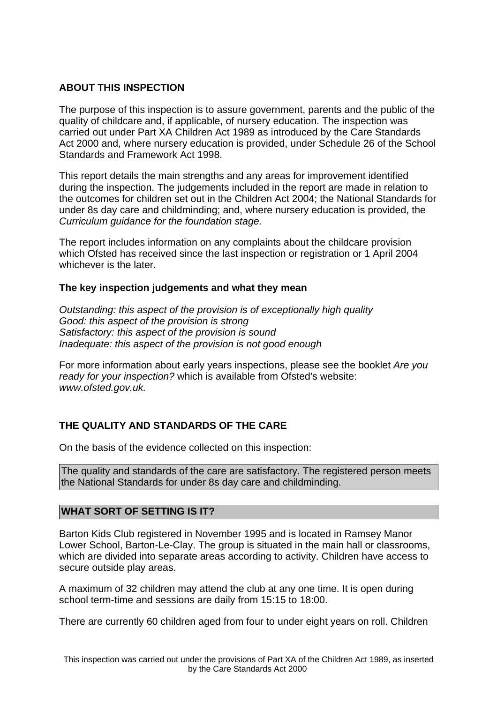## **ABOUT THIS INSPECTION**

The purpose of this inspection is to assure government, parents and the public of the quality of childcare and, if applicable, of nursery education. The inspection was carried out under Part XA Children Act 1989 as introduced by the Care Standards Act 2000 and, where nursery education is provided, under Schedule 26 of the School Standards and Framework Act 1998.

This report details the main strengths and any areas for improvement identified during the inspection. The judgements included in the report are made in relation to the outcomes for children set out in the Children Act 2004; the National Standards for under 8s day care and childminding; and, where nursery education is provided, the Curriculum guidance for the foundation stage.

The report includes information on any complaints about the childcare provision which Ofsted has received since the last inspection or registration or 1 April 2004 whichever is the later.

#### **The key inspection judgements and what they mean**

Outstanding: this aspect of the provision is of exceptionally high quality Good: this aspect of the provision is strong Satisfactory: this aspect of the provision is sound Inadequate: this aspect of the provision is not good enough

For more information about early years inspections, please see the booklet Are you ready for your inspection? which is available from Ofsted's website: www.ofsted.gov.uk.

# **THE QUALITY AND STANDARDS OF THE CARE**

On the basis of the evidence collected on this inspection:

The quality and standards of the care are satisfactory. The registered person meets the National Standards for under 8s day care and childminding.

#### **WHAT SORT OF SETTING IS IT?**

Barton Kids Club registered in November 1995 and is located in Ramsey Manor Lower School, Barton-Le-Clay. The group is situated in the main hall or classrooms, which are divided into separate areas according to activity. Children have access to secure outside play areas.

A maximum of 32 children may attend the club at any one time. It is open during school term-time and sessions are daily from 15:15 to 18:00.

There are currently 60 children aged from four to under eight years on roll. Children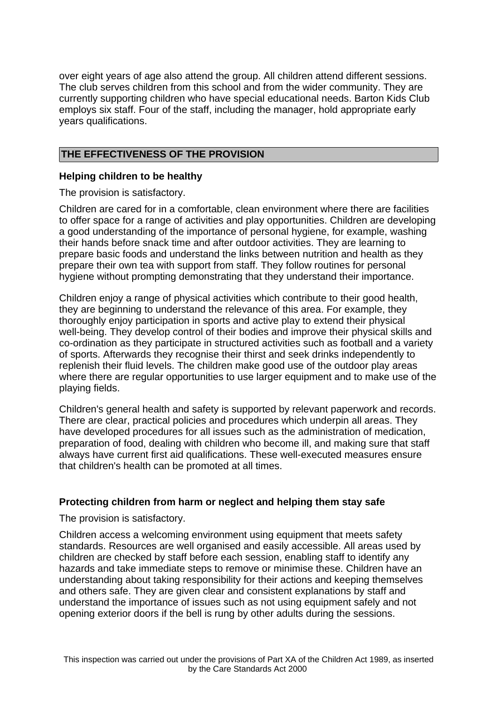over eight years of age also attend the group. All children attend different sessions. The club serves children from this school and from the wider community. They are currently supporting children who have special educational needs. Barton Kids Club employs six staff. Four of the staff, including the manager, hold appropriate early years qualifications.

### **THE EFFECTIVENESS OF THE PROVISION**

#### **Helping children to be healthy**

The provision is satisfactory.

Children are cared for in a comfortable, clean environment where there are facilities to offer space for a range of activities and play opportunities. Children are developing a good understanding of the importance of personal hygiene, for example, washing their hands before snack time and after outdoor activities. They are learning to prepare basic foods and understand the links between nutrition and health as they prepare their own tea with support from staff. They follow routines for personal hygiene without prompting demonstrating that they understand their importance.

Children enjoy a range of physical activities which contribute to their good health, they are beginning to understand the relevance of this area. For example, they thoroughly enjoy participation in sports and active play to extend their physical well-being. They develop control of their bodies and improve their physical skills and co-ordination as they participate in structured activities such as football and a variety of sports. Afterwards they recognise their thirst and seek drinks independently to replenish their fluid levels. The children make good use of the outdoor play areas where there are regular opportunities to use larger equipment and to make use of the playing fields.

Children's general health and safety is supported by relevant paperwork and records. There are clear, practical policies and procedures which underpin all areas. They have developed procedures for all issues such as the administration of medication, preparation of food, dealing with children who become ill, and making sure that staff always have current first aid qualifications. These well-executed measures ensure that children's health can be promoted at all times.

#### **Protecting children from harm or neglect and helping them stay safe**

The provision is satisfactory.

Children access a welcoming environment using equipment that meets safety standards. Resources are well organised and easily accessible. All areas used by children are checked by staff before each session, enabling staff to identify any hazards and take immediate steps to remove or minimise these. Children have an understanding about taking responsibility for their actions and keeping themselves and others safe. They are given clear and consistent explanations by staff and understand the importance of issues such as not using equipment safely and not opening exterior doors if the bell is rung by other adults during the sessions.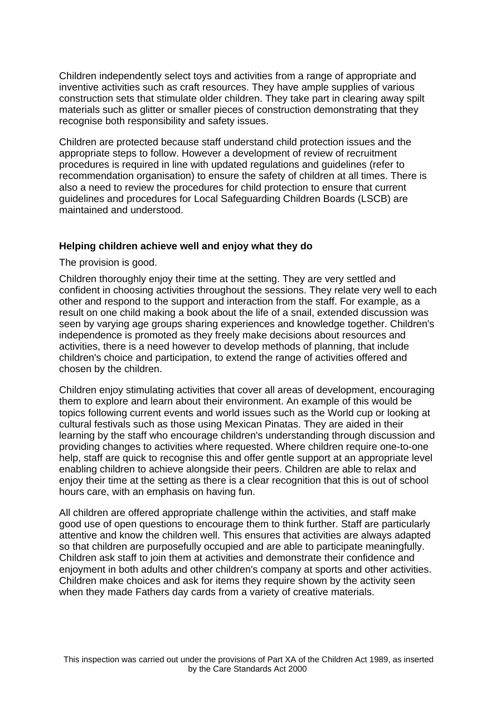Children independently select toys and activities from a range of appropriate and inventive activities such as craft resources. They have ample supplies of various construction sets that stimulate older children. They take part in clearing away spilt materials such as glitter or smaller pieces of construction demonstrating that they recognise both responsibility and safety issues.

Children are protected because staff understand child protection issues and the appropriate steps to follow. However a development of review of recruitment procedures is required in line with updated regulations and guidelines (refer to recommendation organisation) to ensure the safety of children at all times. There is also a need to review the procedures for child protection to ensure that current guidelines and procedures for Local Safeguarding Children Boards (LSCB) are maintained and understood.

#### **Helping children achieve well and enjoy what they do**

The provision is good.

Children thoroughly enjoy their time at the setting. They are very settled and confident in choosing activities throughout the sessions. They relate very well to each other and respond to the support and interaction from the staff. For example, as a result on one child making a book about the life of a snail, extended discussion was seen by varying age groups sharing experiences and knowledge together. Children's independence is promoted as they freely make decisions about resources and activities, there is a need however to develop methods of planning, that include children's choice and participation, to extend the range of activities offered and chosen by the children.

Children enjoy stimulating activities that cover all areas of development, encouraging them to explore and learn about their environment. An example of this would be topics following current events and world issues such as the World cup or looking at cultural festivals such as those using Mexican Pinatas. They are aided in their learning by the staff who encourage children's understanding through discussion and providing changes to activities where requested. Where children require one-to-one help, staff are quick to recognise this and offer gentle support at an appropriate level enabling children to achieve alongside their peers. Children are able to relax and enjoy their time at the setting as there is a clear recognition that this is out of school hours care, with an emphasis on having fun.

All children are offered appropriate challenge within the activities, and staff make good use of open questions to encourage them to think further. Staff are particularly attentive and know the children well. This ensures that activities are always adapted so that children are purposefully occupied and are able to participate meaningfully. Children ask staff to join them at activities and demonstrate their confidence and enjoyment in both adults and other children's company at sports and other activities. Children make choices and ask for items they require shown by the activity seen when they made Fathers day cards from a variety of creative materials.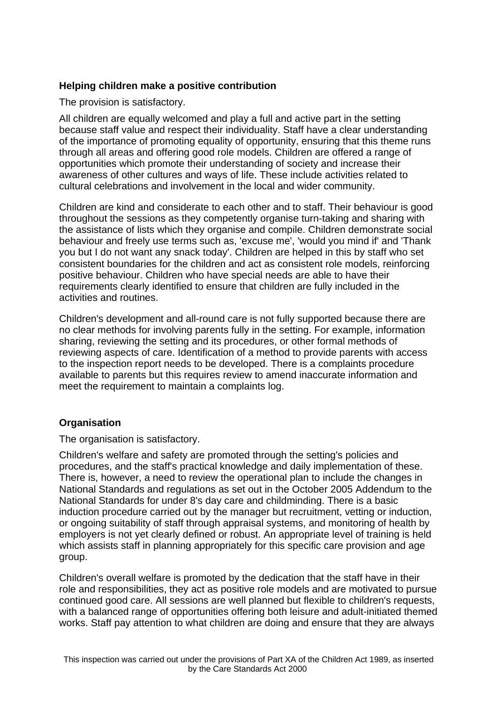# **Helping children make a positive contribution**

The provision is satisfactory.

All children are equally welcomed and play a full and active part in the setting because staff value and respect their individuality. Staff have a clear understanding of the importance of promoting equality of opportunity, ensuring that this theme runs through all areas and offering good role models. Children are offered a range of opportunities which promote their understanding of society and increase their awareness of other cultures and ways of life. These include activities related to cultural celebrations and involvement in the local and wider community.

Children are kind and considerate to each other and to staff. Their behaviour is good throughout the sessions as they competently organise turn-taking and sharing with the assistance of lists which they organise and compile. Children demonstrate social behaviour and freely use terms such as, 'excuse me', 'would you mind if' and 'Thank you but I do not want any snack today'. Children are helped in this by staff who set consistent boundaries for the children and act as consistent role models, reinforcing positive behaviour. Children who have special needs are able to have their requirements clearly identified to ensure that children are fully included in the activities and routines.

Children's development and all-round care is not fully supported because there are no clear methods for involving parents fully in the setting. For example, information sharing, reviewing the setting and its procedures, or other formal methods of reviewing aspects of care. Identification of a method to provide parents with access to the inspection report needs to be developed. There is a complaints procedure available to parents but this requires review to amend inaccurate information and meet the requirement to maintain a complaints log.

# **Organisation**

The organisation is satisfactory.

Children's welfare and safety are promoted through the setting's policies and procedures, and the staff's practical knowledge and daily implementation of these. There is, however, a need to review the operational plan to include the changes in National Standards and regulations as set out in the October 2005 Addendum to the National Standards for under 8's day care and childminding. There is a basic induction procedure carried out by the manager but recruitment, vetting or induction, or ongoing suitability of staff through appraisal systems, and monitoring of health by employers is not yet clearly defined or robust. An appropriate level of training is held which assists staff in planning appropriately for this specific care provision and age group.

Children's overall welfare is promoted by the dedication that the staff have in their role and responsibilities, they act as positive role models and are motivated to pursue continued good care. All sessions are well planned but flexible to children's requests, with a balanced range of opportunities offering both leisure and adult-initiated themed works. Staff pay attention to what children are doing and ensure that they are always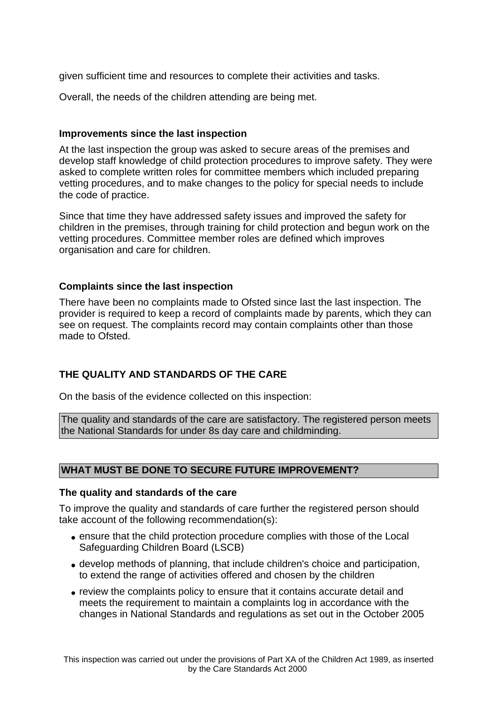given sufficient time and resources to complete their activities and tasks.

Overall, the needs of the children attending are being met.

#### **Improvements since the last inspection**

At the last inspection the group was asked to secure areas of the premises and develop staff knowledge of child protection procedures to improve safety. They were asked to complete written roles for committee members which included preparing vetting procedures, and to make changes to the policy for special needs to include the code of practice.

Since that time they have addressed safety issues and improved the safety for children in the premises, through training for child protection and begun work on the vetting procedures. Committee member roles are defined which improves organisation and care for children.

#### **Complaints since the last inspection**

There have been no complaints made to Ofsted since last the last inspection. The provider is required to keep a record of complaints made by parents, which they can see on request. The complaints record may contain complaints other than those made to Ofsted.

# **THE QUALITY AND STANDARDS OF THE CARE**

On the basis of the evidence collected on this inspection:

The quality and standards of the care are satisfactory. The registered person meets the National Standards for under 8s day care and childminding.

#### **WHAT MUST BE DONE TO SECURE FUTURE IMPROVEMENT?**

#### **The quality and standards of the care**

To improve the quality and standards of care further the registered person should take account of the following recommendation(s):

- ensure that the child protection procedure complies with those of the Local Safeguarding Children Board (LSCB)
- develop methods of planning, that include children's choice and participation, to extend the range of activities offered and chosen by the children
- review the complaints policy to ensure that it contains accurate detail and meets the requirement to maintain a complaints log in accordance with the changes in National Standards and regulations as set out in the October 2005